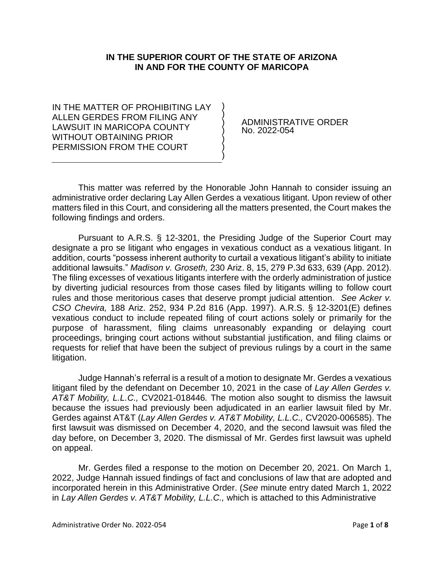## **IN THE SUPERIOR COURT OF THE STATE OF ARIZONA IN AND FOR THE COUNTY OF MARICOPA**

) ) ) ) ) ) )

IN THE MATTER OF PROHIBITING LAY ALLEN GERDES FROM FILING ANY LAWSUIT IN MARICOPA COUNTY WITHOUT OBTAINING PRIOR PERMISSION FROM THE COURT

ADMINISTRATIVE ORDER No. 2022-054

This matter was referred by the Honorable John Hannah to consider issuing an administrative order declaring Lay Allen Gerdes a vexatious litigant. Upon review of other matters filed in this Court, and considering all the matters presented, the Court makes the following findings and orders.

Pursuant to A.R.S. § 12-3201, the Presiding Judge of the Superior Court may designate a pro se litigant who engages in vexatious conduct as a vexatious litigant. In addition, courts "possess inherent authority to curtail a vexatious litigant's ability to initiate additional lawsuits." *Madison v. Groseth,* 230 Ariz. 8, 15, 279 P.3d 633, 639 (App. 2012). The filing excesses of vexatious litigants interfere with the orderly administration of justice by diverting judicial resources from those cases filed by litigants willing to follow court rules and those meritorious cases that deserve prompt judicial attention. *See Acker v. CSO Chevira,* 188 Ariz. 252, 934 P.2d 816 (App. 1997). A.R.S. § 12-3201(E) defines vexatious conduct to include repeated filing of court actions solely or primarily for the purpose of harassment, filing claims unreasonably expanding or delaying court proceedings, bringing court actions without substantial justification, and filing claims or requests for relief that have been the subject of previous rulings by a court in the same litigation.

Judge Hannah's referral is a result of a motion to designate Mr. Gerdes a vexatious litigant filed by the defendant on December 10, 2021 in the case of *Lay Allen Gerdes v. AT&T Mobility, L.L.C.,* CV2021-018446*.* The motion also sought to dismiss the lawsuit because the issues had previously been adjudicated in an earlier lawsuit filed by Mr. Gerdes against AT&T (*Lay Allen Gerdes v. AT&T Mobility, L.L.C.,* CV2020-006585). The first lawsuit was dismissed on December 4, 2020, and the second lawsuit was filed the day before, on December 3, 2020. The dismissal of Mr. Gerdes first lawsuit was upheld on appeal.

Mr. Gerdes filed a response to the motion on December 20, 2021. On March 1, 2022, Judge Hannah issued findings of fact and conclusions of law that are adopted and incorporated herein in this Administrative Order. (*See* minute entry dated March 1, 2022 in *Lay Allen Gerdes v. AT&T Mobility, L.L.C.,* which is attached to this Administrative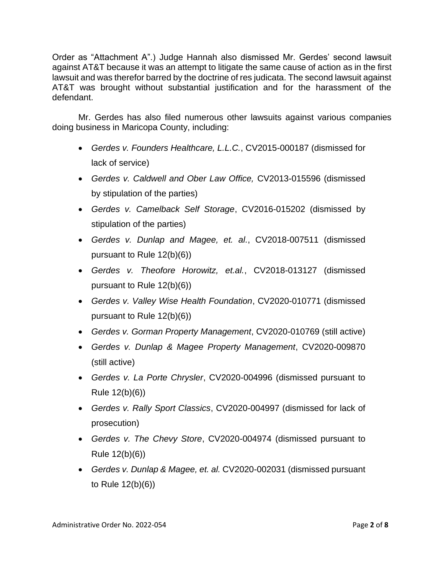Order as "Attachment A".) Judge Hannah also dismissed Mr. Gerdes' second lawsuit against AT&T because it was an attempt to litigate the same cause of action as in the first lawsuit and was therefor barred by the doctrine of res judicata. The second lawsuit against AT&T was brought without substantial justification and for the harassment of the defendant.

Mr. Gerdes has also filed numerous other lawsuits against various companies doing business in Maricopa County, including:

- *Gerdes v. Founders Healthcare, L.L.C.*, CV2015-000187 (dismissed for lack of service)
- *Gerdes v. Caldwell and Ober Law Office,* CV2013-015596 (dismissed by stipulation of the parties)
- *Gerdes v. Camelback Self Storage*, CV2016-015202 (dismissed by stipulation of the parties)
- *Gerdes v. Dunlap and Magee, et. al.*, CV2018-007511 (dismissed pursuant to Rule 12(b)(6))
- *Gerdes v. Theofore Horowitz, et.al.*, CV2018-013127 (dismissed pursuant to Rule 12(b)(6))
- *Gerdes v. Valley Wise Health Foundation*, CV2020-010771 (dismissed pursuant to Rule 12(b)(6))
- *Gerdes v. Gorman Property Management*, CV2020-010769 (still active)
- *Gerdes v. Dunlap & Magee Property Management*, CV2020-009870 (still active)
- *Gerdes v. La Porte Chrysler*, CV2020-004996 (dismissed pursuant to Rule 12(b)(6))
- *Gerdes v. Rally Sport Classics*, CV2020-004997 (dismissed for lack of prosecution)
- *Gerdes v. The Chevy Store*, CV2020-004974 (dismissed pursuant to Rule 12(b)(6))
- *Gerdes v. Dunlap & Magee, et. al.* CV2020-002031 (dismissed pursuant to Rule 12(b)(6))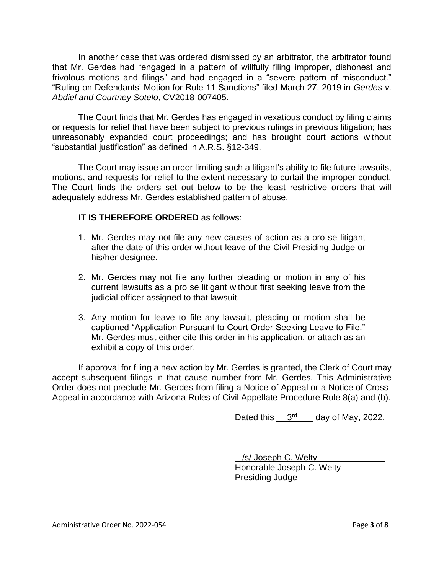In another case that was ordered dismissed by an arbitrator, the arbitrator found that Mr. Gerdes had "engaged in a pattern of willfully filing improper, dishonest and frivolous motions and filings" and had engaged in a "severe pattern of misconduct." "Ruling on Defendants' Motion for Rule 11 Sanctions" filed March 27, 2019 in *Gerdes v. Abdiel and Courtney Sotelo*, CV2018-007405.

The Court finds that Mr. Gerdes has engaged in vexatious conduct by filing claims or requests for relief that have been subject to previous rulings in previous litigation; has unreasonably expanded court proceedings; and has brought court actions without "substantial justification" as defined in A.R.S. §12-349.

The Court may issue an order limiting such a litigant's ability to file future lawsuits, motions, and requests for relief to the extent necessary to curtail the improper conduct. The Court finds the orders set out below to be the least restrictive orders that will adequately address Mr. Gerdes established pattern of abuse.

# **IT IS THEREFORE ORDERED** as follows:

- 1. Mr. Gerdes may not file any new causes of action as a pro se litigant after the date of this order without leave of the Civil Presiding Judge or his/her designee.
- 2. Mr. Gerdes may not file any further pleading or motion in any of his current lawsuits as a pro se litigant without first seeking leave from the judicial officer assigned to that lawsuit.
- 3. Any motion for leave to file any lawsuit, pleading or motion shall be captioned "Application Pursuant to Court Order Seeking Leave to File." Mr. Gerdes must either cite this order in his application, or attach as an exhibit a copy of this order.

If approval for filing a new action by Mr. Gerdes is granted, the Clerk of Court may accept subsequent filings in that cause number from Mr. Gerdes. This Administrative Order does not preclude Mr. Gerdes from filing a Notice of Appeal or a Notice of Cross-Appeal in accordance with Arizona Rules of Civil Appellate Procedure Rule 8(a) and (b).

Dated this  $3<sup>rd</sup>$  day of May, 2022.

 /s/ Joseph C. Welty Honorable Joseph C. Welty Presiding Judge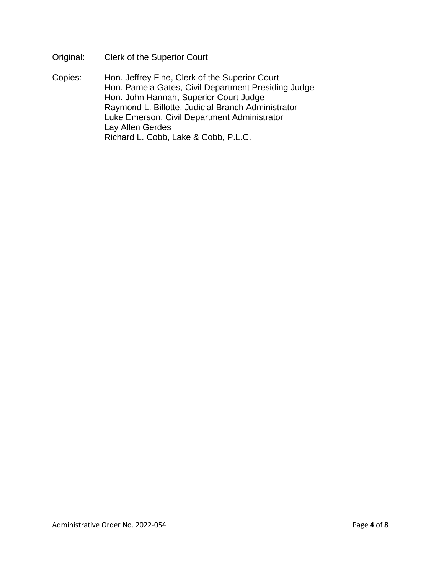Original: Clerk of the Superior Court

Copies: Hon. Jeffrey Fine, Clerk of the Superior Court Hon. Pamela Gates, Civil Department Presiding Judge Hon. John Hannah, Superior Court Judge Raymond L. Billotte, Judicial Branch Administrator Luke Emerson, Civil Department Administrator Lay Allen Gerdes Richard L. Cobb, Lake & Cobb, P.L.C.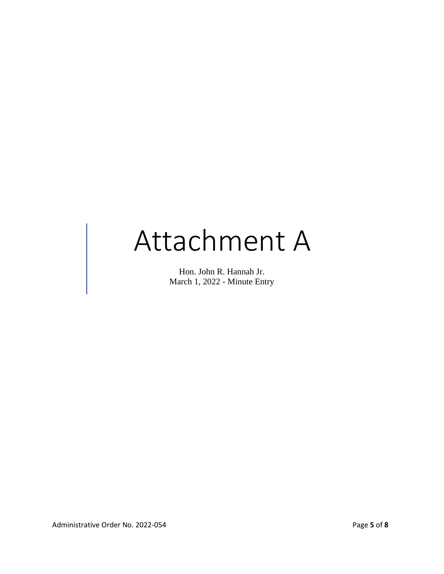# Attachment A

Hon. John R. Hannah Jr. March 1, 2022 - Minute Entry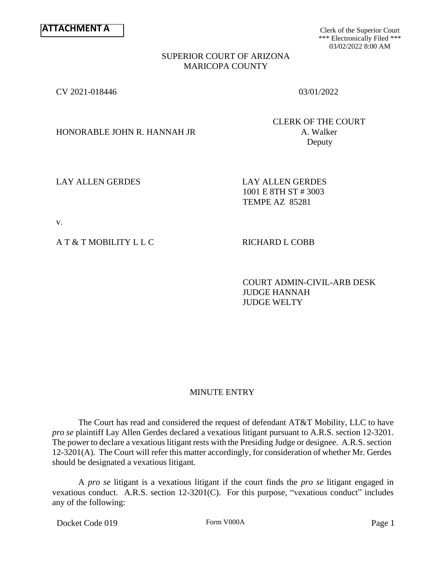Clerk of the Superior Court \*\*\* Electronically Filed \*\*\* 03/02/2022 8:00 AM

#### SUPERIOR COURT OF ARIZONA MARICOPA COUNTY

CV 2021-018446 03/01/2022

HONORABLE JOHN R. HANNAH JR A. Walker

CLERK OF THE COURT Deputy

LAY ALLEN GERDES LAY ALLEN GERDES

1001 E 8TH ST # 3003 TEMPE AZ 85281

v.

A T & T MOBILITY L L C RICHARD L COBB

COURT ADMIN-CIVIL-ARB DESK JUDGE HANNAH JUDGE WELTY

# MINUTE ENTRY

The Court has read and considered the request of defendant AT&T Mobility, LLC to have *pro se* plaintiff Lay Allen Gerdes declared a vexatious litigant pursuant to A.R.S. section 12-3201. The power to declare a vexatious litigant rests with the Presiding Judge or designee. A.R.S. section 12-3201(A). The Court will refer this matter accordingly, for consideration of whether Mr. Gerdes should be designated a vexatious litigant.

A *pro se* litigant is a vexatious litigant if the court finds the *pro se* litigant engaged in vexatious conduct. A.R.S. section 12-3201(C). For this purpose, "vexatious conduct" includes any of the following:

Docket Code 019 Form V000A Form V000A Page 1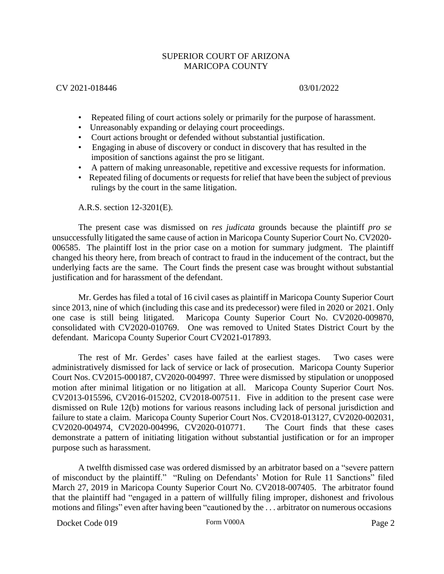## SUPERIOR COURT OF ARIZONA MARICOPA COUNTY

## CV 2021-018446 03/01/2022

- Repeated filing of court actions solely or primarily for the purpose of harassment.
- Unreasonably expanding or delaying court proceedings.
- Court actions brought or defended without substantial justification.
- Engaging in abuse of discovery or conduct in discovery that has resulted in the imposition of sanctions against the pro se litigant.
- A pattern of making unreasonable, repetitive and excessive requests for information.
- Repeated filing of documents or requests for relief that have been the subject of previous rulings by the court in the same litigation.

A.R.S. section 12-3201(E).

The present case was dismissed on *res judicata* grounds because the plaintiff *pro se* unsuccessfully litigated the same cause of action in Maricopa County Superior Court No. CV2020- 006585. The plaintiff lost in the prior case on a motion for summary judgment. The plaintiff changed his theory here, from breach of contract to fraud in the inducement of the contract, but the underlying facts are the same. The Court finds the present case was brought without substantial justification and for harassment of the defendant.

Mr. Gerdes has filed a total of 16 civil cases as plaintiff in Maricopa County Superior Court since 2013, nine of which (including this case and its predecessor) were filed in 2020 or 2021. Only one case is still being litigated. Maricopa County Superior Court No. CV2020-009870, consolidated with CV2020-010769. One was removed to United States District Court by the defendant. Maricopa County Superior Court CV2021-017893.

The rest of Mr. Gerdes' cases have failed at the earliest stages. Two cases were administratively dismissed for lack of service or lack of prosecution. Maricopa County Superior Court Nos. CV2015-000187, CV2020-004997. Three were dismissed by stipulation or unopposed motion after minimal litigation or no litigation at all. Maricopa County Superior Court Nos. CV2013-015596, CV2016-015202, CV2018-007511. Five in addition to the present case were dismissed on Rule 12(b) motions for various reasons including lack of personal jurisdiction and failure to state a claim. Maricopa County Superior Court Nos. CV2018-013127, CV2020-002031, CV2020-004974, CV2020-004996, CV2020-010771. The Court finds that these cases demonstrate a pattern of initiating litigation without substantial justification or for an improper purpose such as harassment.

A twelfth dismissed case was ordered dismissed by an arbitrator based on a "severe pattern of misconduct by the plaintiff." "Ruling on Defendants' Motion for Rule 11 Sanctions" filed March 27, 2019 in Maricopa County Superior Court No. CV2018-007405. The arbitrator found that the plaintiff had "engaged in a pattern of willfully filing improper, dishonest and frivolous motions and filings" even after having been "cautioned by the . . . arbitrator on numerous occasions

Docket Code 019 Form V000A Form V000A Page 2